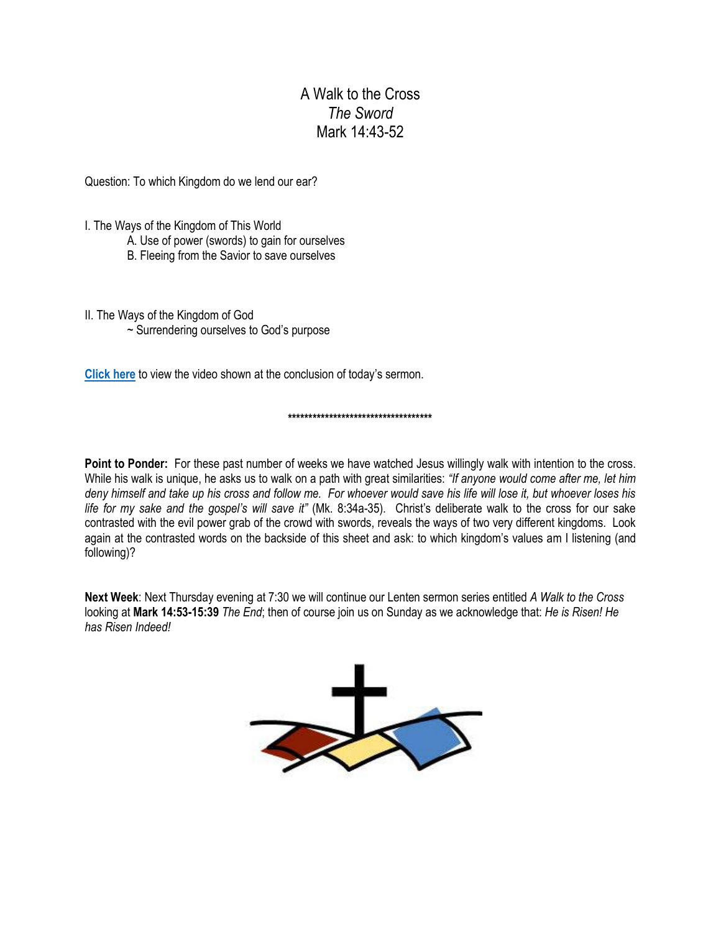## A Walk to the Cross *The Sword* Mark 14:43-52

Question: To which Kingdom do we lend our ear?

I. The Ways of the Kingdom of This World

- A. Use of power (swords) to gain for ourselves
- B. Fleeing from the Savior to save ourselves

II. The Ways of the Kingdom of God ~ Surrendering ourselves to God's purpose

**[Click here](https://www.youtube.com/watch?v=bx5myFFHo_Q)** to view the video shown at the conclusion of today's sermon.

## **\*\*\*\*\*\*\*\*\*\*\*\*\*\*\*\*\*\*\*\*\*\*\*\*\*\*\*\*\*\*\*\*\*\*\***

**Point to Ponder:** For these past number of weeks we have watched Jesus willingly walk with intention to the cross. While his walk is unique, he asks us to walk on a path with great similarities: *"If anyone would come after me, let him deny himself and take up his cross and follow me. For whoever would save his life will lose it, but whoever loses his life for my sake and the gospel's will save it"* (Mk. 8:34a-35). Christ's deliberate walk to the cross for our sake contrasted with the evil power grab of the crowd with swords, reveals the ways of two very different kingdoms. Look again at the contrasted words on the backside of this sheet and ask: to which kingdom's values am I listening (and following)?

**Next Week**: Next Thursday evening at 7:30 we will continue our Lenten sermon series entitled *A Walk to the Cross* looking at **Mark 14:53-15:39** *The End*; then of course join us on Sunday as we acknowledge that: *He is Risen! He has Risen Indeed!*